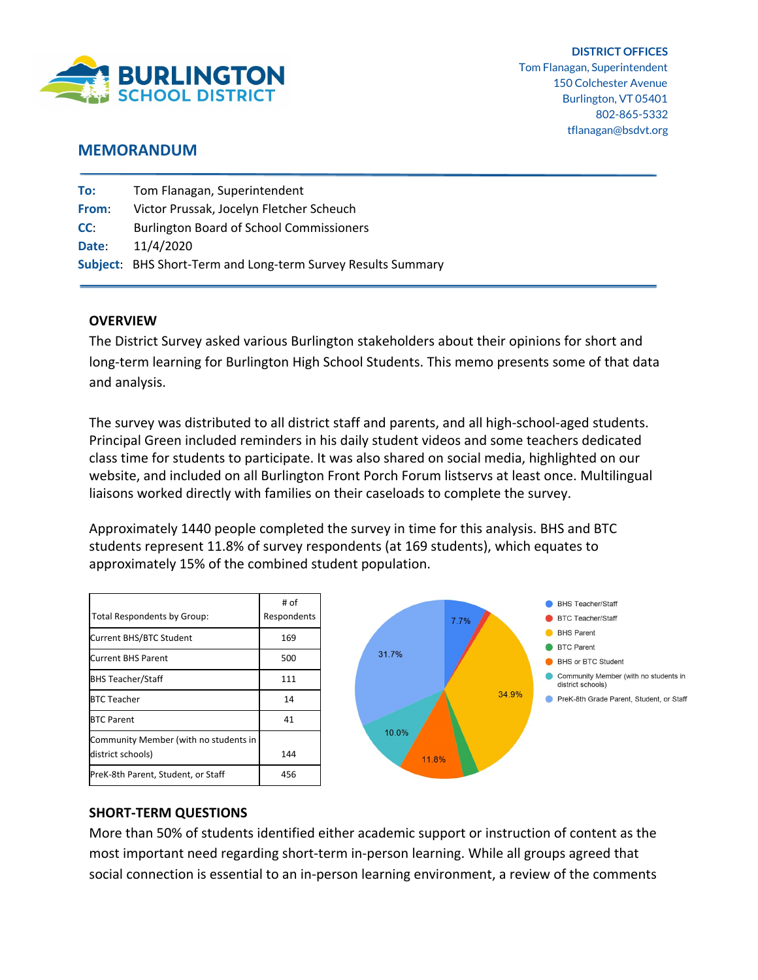

## **MEMORANDUM**

| To:   | Tom Flanagan, Superintendent                                 |
|-------|--------------------------------------------------------------|
| From: | Victor Prussak, Jocelyn Fletcher Scheuch                     |
| CC:   | <b>Burlington Board of School Commissioners</b>              |
| Date: | 11/4/2020                                                    |
|       | Subject: BHS Short-Term and Long-term Survey Results Summary |
|       |                                                              |

### **OVERVIEW**

The District Survey asked various Burlington stakeholders about their opinions for short and long-term learning for Burlington High School Students. This memo presents some of that data and analysis.

The survey was distributed to all district staff and parents, and all high-school-aged students. Principal Green included reminders in his daily student videos and some teachers dedicated class time for students to participate. It was also shared on social media, highlighted on our website, and included on all Burlington Front Porch Forum listservs at least once. Multilingual liaisons worked directly with families on their caseloads to complete the survey.

Approximately 1440 people completed the survey in time for this analysis. BHS and BTC students represent 11.8% of survey respondents (at 169 students), which equates to approximately 15% of the combined student population.

|                                       | # of        |
|---------------------------------------|-------------|
| Total Respondents by Group:           | Respondents |
| Current BHS/BTC Student               | 169         |
| <b>Current BHS Parent</b>             | 500         |
| <b>BHS Teacher/Staff</b>              | 111         |
| BTC Teacher                           | 14          |
| <b>BTC Parent</b>                     | 41          |
| Community Member (with no students in |             |
| district schools)                     | 144         |
| PreK-8th Parent, Student, or Staff    | 456         |



## **SHORT-TERM QUESTIONS**

More than 50% of students identified either academic support or instruction of content as the most important need regarding short-term in-person learning. While all groups agreed that social connection is essential to an in-person learning environment, a review of the comments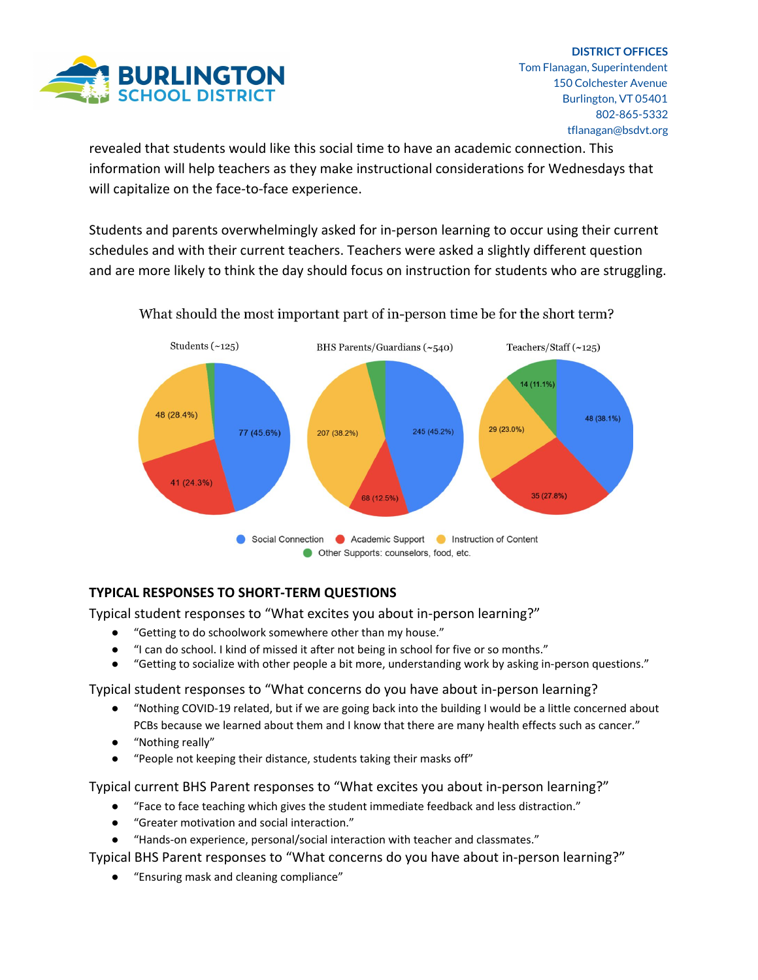

revealed that students would like this social time to have an academic connection. This information will help teachers as they make instructional considerations for Wednesdays that will capitalize on the face-to-face experience.

Students and parents overwhelmingly asked for in-person learning to occur using their current schedules and with their current teachers. Teachers were asked a slightly different question and are more likely to think the day should focus on instruction for students who are struggling.



What should the most important part of in-person time be for the short term?

# **TYPICAL RESPONSES TO SHORT-TERM QUESTIONS**

Typical student responses to "What excites you about in-person learning?"

- "Getting to do schoolwork somewhere other than my house."
- "I can do school. I kind of missed it after not being in school for five or so months."
- "Getting to socialize with other people a bit more, understanding work by asking in-person questions."

Typical student responses to "What concerns do you have about in-person learning?

- "Nothing COVID-19 related, but if we are going back into the building I would be a little concerned about PCBs because we learned about them and I know that there are many health effects such as cancer."
- "Nothing really"
- "People not keeping their distance, students taking their masks off"

Typical current BHS Parent responses to "What excites you about in-person learning?"

- "Face to face teaching which gives the student immediate feedback and less distraction."
- "Greater motivation and social interaction."
- "Hands-on experience, personal/social interaction with teacher and classmates."

Typical BHS Parent responses to "What concerns do you have about in-person learning?"

● "Ensuring mask and cleaning compliance"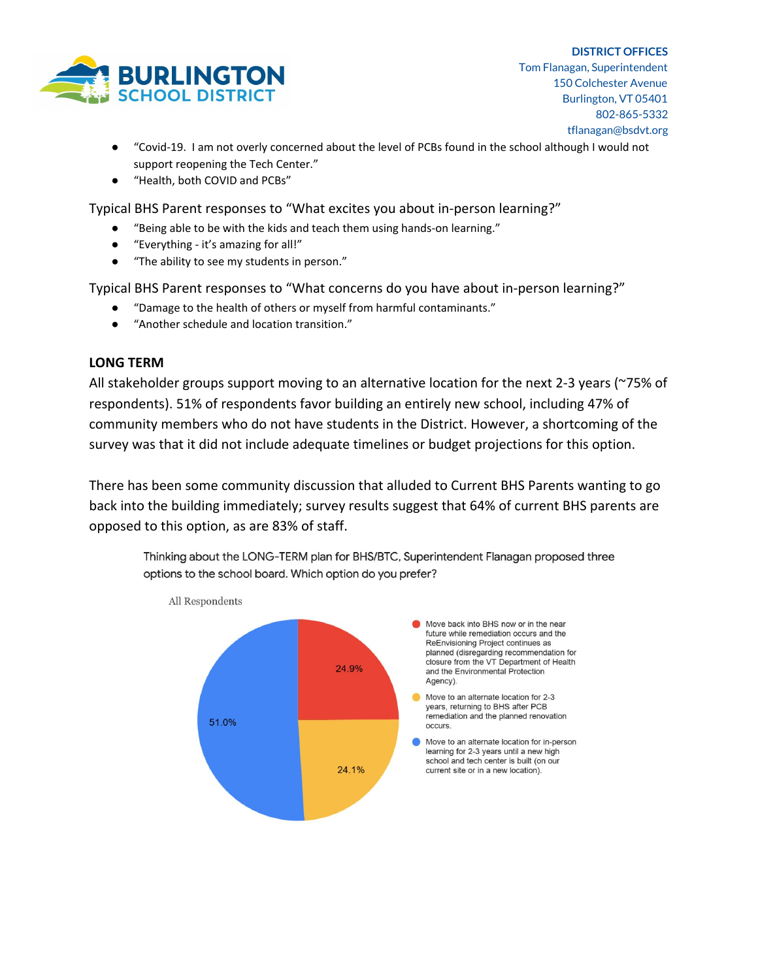

- "Covid-19. I am not overly concerned about the level of PCBs found in the school although I would not support reopening the Tech Center."
- "Health, both COVID and PCBs"

Typical BHS Parent responses to "What excites you about in-person learning?"

- "Being able to be with the kids and teach them using hands-on learning."
- "Everything it's amazing for all!"
- "The ability to see my students in person."

Typical BHS Parent responses to "What concerns do you have about in-person learning?"

- "Damage to the health of others or myself from harmful contaminants."
- "Another schedule and location transition."

## **LONG TERM**

All stakeholder groups support moving to an alternative location for the next 2-3 years (~75% of respondents). 51% of respondents favor building an entirely new school, including 47% of community members who do not have students in the District. However, a shortcoming of the survey was that it did not include adequate timelines or budget projections for this option.

There has been some community discussion that alluded to Current BHS Parents wanting to go back into the building immediately; survey results suggest that 64% of current BHS parents are opposed to this option, as are 83% of staff.